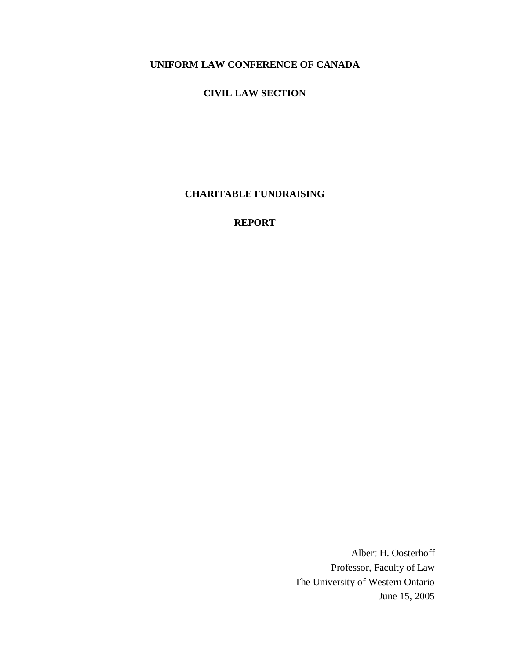## **CIVIL LAW SECTION**

**CHARITABLE FUNDRAISING**

**REPORT**

Albert H. Oosterhoff Professor, Faculty of Law The University of Western Ontario June 15, 2005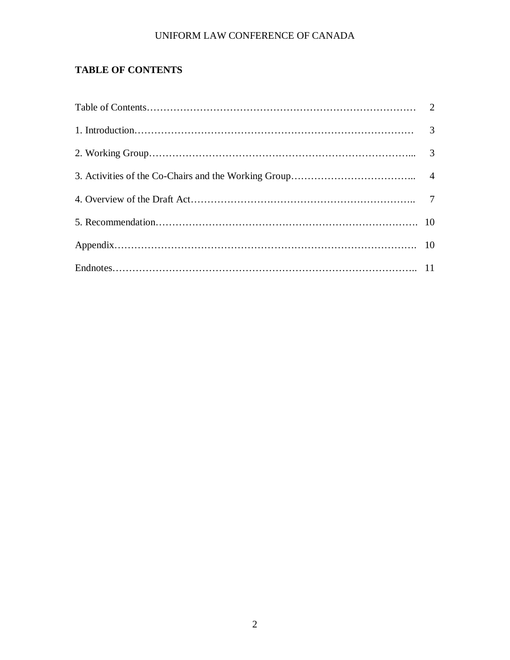# **TABLE OF CONTENTS**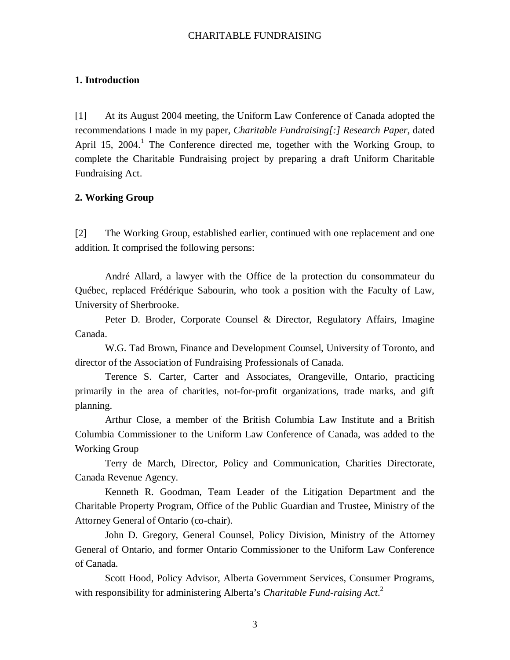#### **1. Introduction**

[1] At its August 2004 meeting, the Uniform Law Conference of Canada adopted the recommendations I made in my paper, *Charitable Fundraising[:] Research Paper*, dated April 15, 2004.<sup>1</sup> The Conference directed me, together with the Working Group, to complete the Charitable Fundraising project by preparing a draft Uniform Charitable Fundraising Act.

#### **2. Working Group**

[2] The Working Group, established earlier, continued with one replacement and one addition. It comprised the following persons:

André Allard, a lawyer with the Office de la protection du consommateur du Québec, replaced Frédérique Sabourin, who took a position with the Faculty of Law, University of Sherbrooke.

Peter D. Broder, Corporate Counsel & Director, Regulatory Affairs, Imagine Canada.

W.G. Tad Brown, Finance and Development Counsel, University of Toronto, and director of the Association of Fundraising Professionals of Canada.

Terence S. Carter, Carter and Associates, Orangeville, Ontario, practicing primarily in the area of charities, not-for-profit organizations, trade marks, and gift planning.

Arthur Close, a member of the British Columbia Law Institute and a British Columbia Commissioner to the Uniform Law Conference of Canada, was added to the Working Group

Terry de March, Director, Policy and Communication, Charities Directorate, Canada Revenue Agency.

Kenneth R. Goodman, Team Leader of the Litigation Department and the Charitable Property Program, Office of the Public Guardian and Trustee, Ministry of the Attorney General of Ontario (co-chair).

John D. Gregory, General Counsel, Policy Division, Ministry of the Attorney General of Ontario, and former Ontario Commissioner to the Uniform Law Conference of Canada.

Scott Hood, Policy Advisor, Alberta Government Services, Consumer Programs, with responsibility for administering Alberta's *Charitable Fund-raising Act*. 2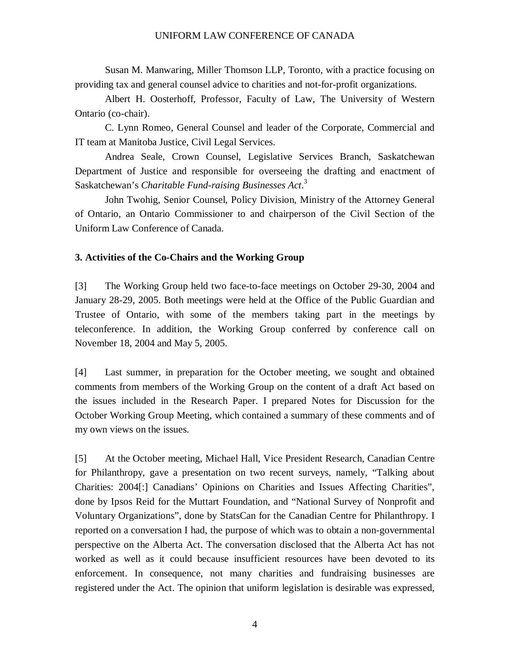Susan M. Manwaring, Miller Thomson LLP, Toronto, with a practice focusing on providing tax and general counsel advice to charities and not-for-profit organizations.

Albert H. Oosterhoff, Professor, Faculty of Law, The University of Western Ontario (co-chair).

C. Lynn Romeo, General Counsel and leader of the Corporate, Commercial and IT team at Manitoba Justice, Civil Legal Services.

Andrea Seale, Crown Counsel, Legislative Services Branch, Saskatchewan Department of Justice and responsible for overseeing the drafting and enactment of Saskatchewan's *Charitable Fund-raising Businesses Act*. 3

John Twohig, Senior Counsel, Policy Division, Ministry of the Attorney General of Ontario, an Ontario Commissioner to and chairperson of the Civil Section of the Uniform Law Conference of Canada.

## **3. Activities of the Co-Chairs and the Working Group**

[3] The Working Group held two face-to-face meetings on October 29-30, 2004 and January 28-29, 2005. Both meetings were held at the Office of the Public Guardian and Trustee of Ontario, with some of the members taking part in the meetings by teleconference. In addition, the Working Group conferred by conference call on November 18, 2004 and May 5, 2005.

[4] Last summer, in preparation for the October meeting, we sought and obtained comments from members of the Working Group on the content of a draft Act based on the issues included in the Research Paper. I prepared Notes for Discussion for the October Working Group Meeting, which contained a summary of these comments and of my own views on the issues.

[5] At the October meeting, Michael Hall, Vice President Research, Canadian Centre for Philanthropy, gave a presentation on two recent surveys, namely, "Talking about Charities: 2004[:] Canadians' Opinions on Charities and Issues Affecting Charities", done by Ipsos Reid for the Muttart Foundation, and "National Survey of Nonprofit and Voluntary Organizations", done by StatsCan for the Canadian Centre for Philanthropy. I reported on a conversation I had, the purpose of which was to obtain a non-governmental perspective on the Alberta Act. The conversation disclosed that the Alberta Act has not worked as well as it could because insufficient resources have been devoted to its enforcement. In consequence, not many charities and fundraising businesses are registered under the Act. The opinion that uniform legislation is desirable was expressed,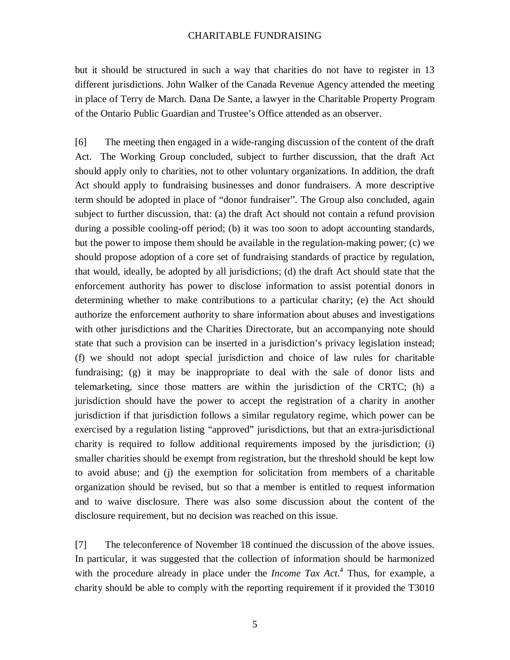but it should be structured in such a way that charities do not have to register in 13 different jurisdictions. John Walker of the Canada Revenue Agency attended the meeting in place of Terry de March. Dana De Sante, a lawyer in the Charitable Property Program of the Ontario Public Guardian and Trustee's Office attended as an observer.

[6] The meeting then engaged in a wide-ranging discussion of the content of the draft Act. The Working Group concluded, subject to further discussion, that the draft Act should apply only to charities, not to other voluntary organizations. In addition, the draft Act should apply to fundraising businesses and donor fundraisers. A more descriptive term should be adopted in place of "donor fundraiser". The Group also concluded, again subject to further discussion, that: (a) the draft Act should not contain a refund provision during a possible cooling-off period; (b) it was too soon to adopt accounting standards, but the power to impose them should be available in the regulation-making power; (c) we should propose adoption of a core set of fundraising standards of practice by regulation, that would, ideally, be adopted by all jurisdictions; (d) the draft Act should state that the enforcement authority has power to disclose information to assist potential donors in determining whether to make contributions to a particular charity; (e) the Act should authorize the enforcement authority to share information about abuses and investigations with other jurisdictions and the Charities Directorate, but an accompanying note should state that such a provision can be inserted in a jurisdiction's privacy legislation instead; (f) we should not adopt special jurisdiction and choice of law rules for charitable fundraising; (g) it may be inappropriate to deal with the sale of donor lists and telemarketing, since those matters are within the jurisdiction of the CRTC; (h) a jurisdiction should have the power to accept the registration of a charity in another jurisdiction if that jurisdiction follows a similar regulatory regime, which power can be exercised by a regulation listing "approved" jurisdictions, but that an extra-jurisdictional charity is required to follow additional requirements imposed by the jurisdiction; (i) smaller charities should be exempt from registration, but the threshold should be kept low to avoid abuse; and (j) the exemption for solicitation from members of a charitable organization should be revised, but so that a member is entitled to request information and to waive disclosure. There was also some discussion about the content of the disclosure requirement, but no decision was reached on this issue.

[7] The teleconference of November 18 continued the discussion of the above issues. In particular, it was suggested that the collection of information should be harmonized with the procedure already in place under the *Income Tax Act*. 4 Thus, for example, a charity should be able to comply with the reporting requirement if it provided the T3010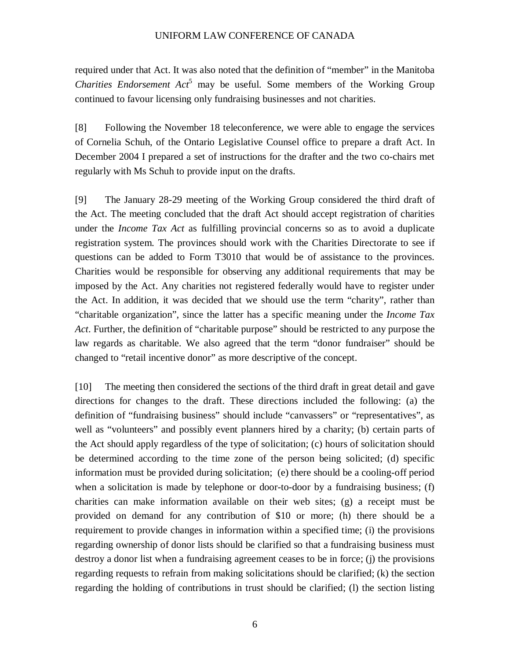required under that Act. It was also noted that the definition of "member" in the Manitoba *Charities Endorsement Act* <sup>5</sup> may be useful. Some members of the Working Group continued to favour licensing only fundraising businesses and not charities.

[8] Following the November 18 teleconference, we were able to engage the services of Cornelia Schuh, of the Ontario Legislative Counsel office to prepare a draft Act. In December 2004 I prepared a set of instructions for the drafter and the two co-chairs met regularly with Ms Schuh to provide input on the drafts.

[9] The January 28-29 meeting of the Working Group considered the third draft of the Act. The meeting concluded that the draft Act should accept registration of charities under the *Income Tax Act* as fulfilling provincial concerns so as to avoid a duplicate registration system. The provinces should work with the Charities Directorate to see if questions can be added to Form T3010 that would be of assistance to the provinces. Charities would be responsible for observing any additional requirements that may be imposed by the Act. Any charities not registered federally would have to register under the Act. In addition, it was decided that we should use the term "charity", rather than "charitable organization", since the latter has a specific meaning under the *Income Tax Act*. Further, the definition of "charitable purpose" should be restricted to any purpose the law regards as charitable. We also agreed that the term "donor fundraiser" should be changed to "retail incentive donor" as more descriptive of the concept.

[10] The meeting then considered the sections of the third draft in great detail and gave directions for changes to the draft. These directions included the following: (a) the definition of "fundraising business" should include "canvassers" or "representatives", as well as "volunteers" and possibly event planners hired by a charity; (b) certain parts of the Act should apply regardless of the type of solicitation; (c) hours of solicitation should be determined according to the time zone of the person being solicited; (d) specific information must be provided during solicitation; (e) there should be a cooling-off period when a solicitation is made by telephone or door-to-door by a fundraising business; (f) charities can make information available on their web sites; (g) a receipt must be provided on demand for any contribution of \$10 or more; (h) there should be a requirement to provide changes in information within a specified time; (i) the provisions regarding ownership of donor lists should be clarified so that a fundraising business must destroy a donor list when a fundraising agreement ceases to be in force; (j) the provisions regarding requests to refrain from making solicitations should be clarified; (k) the section regarding the holding of contributions in trust should be clarified; (l) the section listing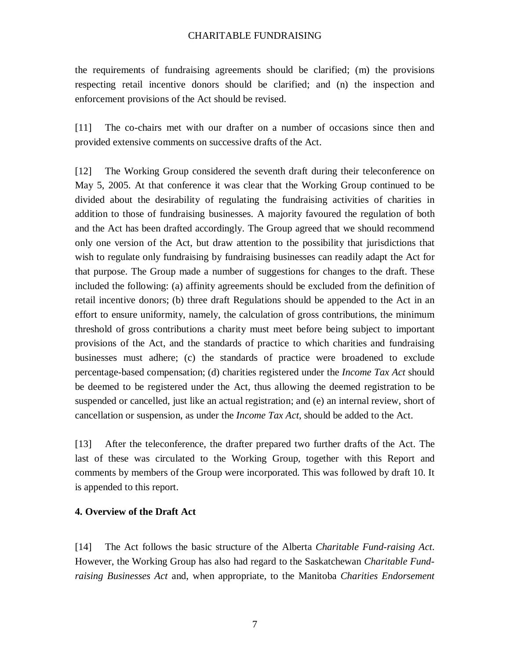the requirements of fundraising agreements should be clarified; (m) the provisions respecting retail incentive donors should be clarified; and (n) the inspection and enforcement provisions of the Act should be revised.

[11] The co-chairs met with our drafter on a number of occasions since then and provided extensive comments on successive drafts of the Act.

[12] The Working Group considered the seventh draft during their teleconference on May 5, 2005. At that conference it was clear that the Working Group continued to be divided about the desirability of regulating the fundraising activities of charities in addition to those of fundraising businesses. A majority favoured the regulation of both and the Act has been drafted accordingly. The Group agreed that we should recommend only one version of the Act, but draw attention to the possibility that jurisdictions that wish to regulate only fundraising by fundraising businesses can readily adapt the Act for that purpose. The Group made a number of suggestions for changes to the draft. These included the following: (a) affinity agreements should be excluded from the definition of retail incentive donors; (b) three draft Regulations should be appended to the Act in an effort to ensure uniformity, namely, the calculation of gross contributions, the minimum threshold of gross contributions a charity must meet before being subject to important provisions of the Act, and the standards of practice to which charities and fundraising businesses must adhere; (c) the standards of practice were broadened to exclude percentage-based compensation; (d) charities registered under the *Income Tax Act* should be deemed to be registered under the Act, thus allowing the deemed registration to be suspended or cancelled, just like an actual registration; and (e) an internal review, short of cancellation or suspension, as under the *Income Tax Act*, should be added to the Act.

[13] After the teleconference, the drafter prepared two further drafts of the Act. The last of these was circulated to the Working Group, together with this Report and comments by members of the Group were incorporated. This was followed by draft 10. It is appended to this report.

### **4. Overview of the Draft Act**

[14] The Act follows the basic structure of the Alberta *Charitable Fund-raising Act*. However, the Working Group has also had regard to the Saskatchewan *Charitable Fundraising Businesses Act* and, when appropriate, to the Manitoba *Charities Endorsement*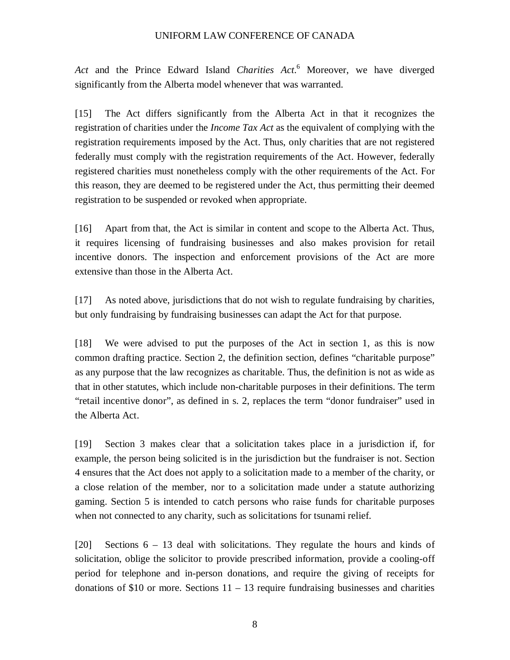*Act* and the Prince Edward Island *Charities Act*. <sup>6</sup> Moreover, we have diverged significantly from the Alberta model whenever that was warranted.

[15] The Act differs significantly from the Alberta Act in that it recognizes the registration of charities under the *Income Tax Act* as the equivalent of complying with the registration requirements imposed by the Act. Thus, only charities that are not registered federally must comply with the registration requirements of the Act. However, federally registered charities must nonetheless comply with the other requirements of the Act. For this reason, they are deemed to be registered under the Act, thus permitting their deemed registration to be suspended or revoked when appropriate.

[16] Apart from that, the Act is similar in content and scope to the Alberta Act. Thus, it requires licensing of fundraising businesses and also makes provision for retail incentive donors. The inspection and enforcement provisions of the Act are more extensive than those in the Alberta Act.

[17] As noted above, jurisdictions that do not wish to regulate fundraising by charities, but only fundraising by fundraising businesses can adapt the Act for that purpose.

[18] We were advised to put the purposes of the Act in section 1, as this is now common drafting practice. Section 2, the definition section, defines "charitable purpose" as any purpose that the law recognizes as charitable. Thus, the definition is not as wide as that in other statutes, which include non-charitable purposes in their definitions. The term "retail incentive donor", as defined in s. 2, replaces the term "donor fundraiser" used in the Alberta Act.

[19] Section 3 makes clear that a solicitation takes place in a jurisdiction if, for example, the person being solicited is in the jurisdiction but the fundraiser is not. Section 4 ensures that the Act does not apply to a solicitation made to a member of the charity, or a close relation of the member, nor to a solicitation made under a statute authorizing gaming. Section 5 is intended to catch persons who raise funds for charitable purposes when not connected to any charity, such as solicitations for tsunami relief.

[20] Sections 6 – 13 deal with solicitations. They regulate the hours and kinds of solicitation, oblige the solicitor to provide prescribed information, provide a cooling-off period for telephone and in-person donations, and require the giving of receipts for donations of \$10 or more. Sections  $11 - 13$  require fundraising businesses and charities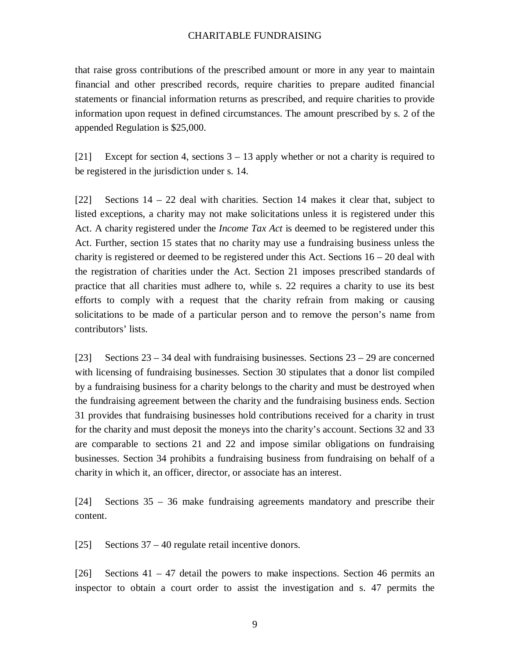that raise gross contributions of the prescribed amount or more in any year to maintain financial and other prescribed records, require charities to prepare audited financial statements or financial information returns as prescribed, and require charities to provide information upon request in defined circumstances. The amount prescribed by s. 2 of the appended Regulation is \$25,000.

[21] Except for section 4, sections  $3 - 13$  apply whether or not a charity is required to be registered in the jurisdiction under s. 14.

[22] Sections 14 – 22 deal with charities. Section 14 makes it clear that, subject to listed exceptions, a charity may not make solicitations unless it is registered under this Act. A charity registered under the *Income Tax Act* is deemed to be registered under this Act. Further, section 15 states that no charity may use a fundraising business unless the charity is registered or deemed to be registered under this Act. Sections  $16 - 20$  deal with the registration of charities under the Act. Section 21 imposes prescribed standards of practice that all charities must adhere to, while s. 22 requires a charity to use its best efforts to comply with a request that the charity refrain from making or causing solicitations to be made of a particular person and to remove the person's name from contributors' lists.

[23] Sections  $23 - 34$  deal with fundraising businesses. Sections  $23 - 29$  are concerned with licensing of fundraising businesses. Section 30 stipulates that a donor list compiled by a fundraising business for a charity belongs to the charity and must be destroyed when the fundraising agreement between the charity and the fundraising business ends. Section 31 provides that fundraising businesses hold contributions received for a charity in trust for the charity and must deposit the moneys into the charity's account. Sections 32 and 33 are comparable to sections 21 and 22 and impose similar obligations on fundraising businesses. Section 34 prohibits a fundraising business from fundraising on behalf of a charity in which it, an officer, director, or associate has an interest.

[24] Sections 35 – 36 make fundraising agreements mandatory and prescribe their content.

[25] Sections 37 – 40 regulate retail incentive donors.

[26] Sections 41 – 47 detail the powers to make inspections. Section 46 permits an inspector to obtain a court order to assist the investigation and s. 47 permits the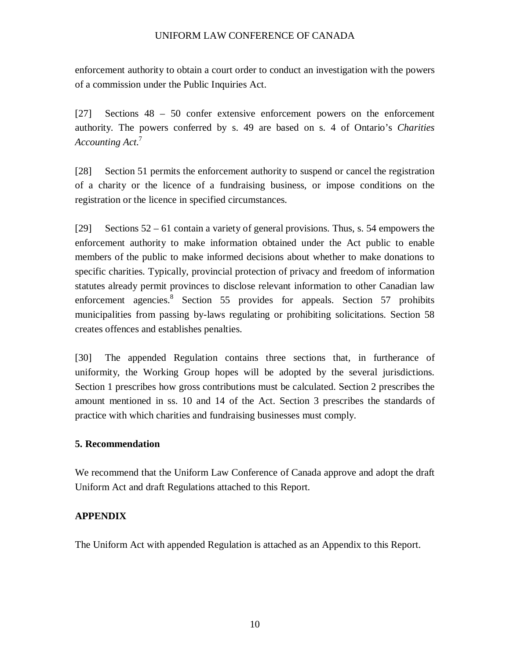enforcement authority to obtain a court order to conduct an investigation with the powers of a commission under the Public Inquiries Act.

[27] Sections 48 – 50 confer extensive enforcement powers on the enforcement authority. The powers conferred by s. 49 are based on s. 4 of Ontario's *Charities Accounting Act*. 7

[28] Section 51 permits the enforcement authority to suspend or cancel the registration of a charity or the licence of a fundraising business, or impose conditions on the registration or the licence in specified circumstances.

[29] Sections 52 – 61 contain a variety of general provisions. Thus, s. 54 empowers the enforcement authority to make information obtained under the Act public to enable members of the public to make informed decisions about whether to make donations to specific charities. Typically, provincial protection of privacy and freedom of information statutes already permit provinces to disclose relevant information to other Canadian law enforcement agencies.<sup>8</sup> Section 55 provides for appeals. Section 57 prohibits municipalities from passing by-laws regulating or prohibiting solicitations. Section 58 creates offences and establishes penalties.

[30] The appended Regulation contains three sections that, in furtherance of uniformity, the Working Group hopes will be adopted by the several jurisdictions. Section 1 prescribes how gross contributions must be calculated. Section 2 prescribes the amount mentioned in ss. 10 and 14 of the Act. Section 3 prescribes the standards of practice with which charities and fundraising businesses must comply.

## **5. Recommendation**

We recommend that the Uniform Law Conference of Canada approve and adopt the draft Uniform Act and draft Regulations attached to this Report.

## **APPENDIX**

The Uniform Act with appended Regulation is attached as an Appendix to this Report.